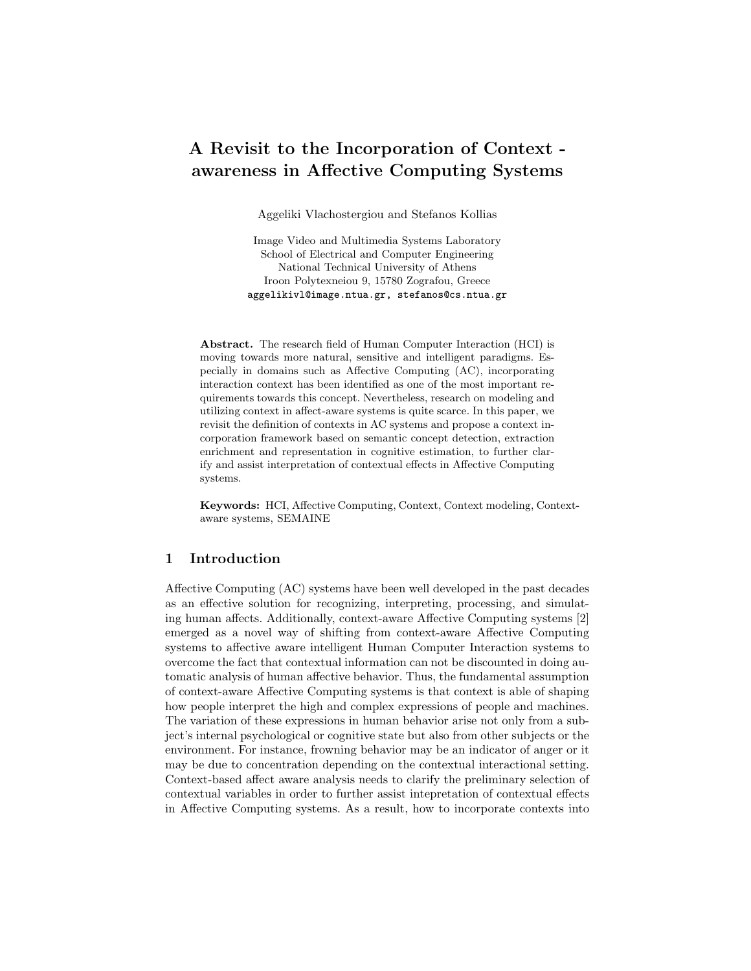# A Revisit to the Incorporation of Context awareness in Affective Computing Systems

Aggeliki Vlachostergiou and Stefanos Kollias

Image Video and Multimedia Systems Laboratory School of Electrical and Computer Engineering National Technical University of Athens Iroon Polytexneiou 9, 15780 Zografou, Greece aggelikivl@image.ntua.gr, stefanos@cs.ntua.gr

Abstract. The research field of Human Computer Interaction (HCI) is moving towards more natural, sensitive and intelligent paradigms. Especially in domains such as Affective Computing (AC), incorporating interaction context has been identified as one of the most important requirements towards this concept. Nevertheless, research on modeling and utilizing context in affect-aware systems is quite scarce. In this paper, we revisit the definition of contexts in AC systems and propose a context incorporation framework based on semantic concept detection, extraction enrichment and representation in cognitive estimation, to further clarify and assist interpretation of contextual effects in Affective Computing systems.

Keywords: HCI, Affective Computing, Context, Context modeling, Contextaware systems, SEMAINE

# 1 Introduction

Affective Computing (AC) systems have been well developed in the past decades as an effective solution for recognizing, interpreting, processing, and simulating human affects. Additionally, context-aware Affective Computing systems [2] emerged as a novel way of shifting from context-aware Affective Computing systems to affective aware intelligent Human Computer Interaction systems to overcome the fact that contextual information can not be discounted in doing automatic analysis of human affective behavior. Thus, the fundamental assumption of context-aware Affective Computing systems is that context is able of shaping how people interpret the high and complex expressions of people and machines. The variation of these expressions in human behavior arise not only from a subject's internal psychological or cognitive state but also from other subjects or the environment. For instance, frowning behavior may be an indicator of anger or it may be due to concentration depending on the contextual interactional setting. Context-based affect aware analysis needs to clarify the preliminary selection of contextual variables in order to further assist intepretation of contextual effects in Affective Computing systems. As a result, how to incorporate contexts into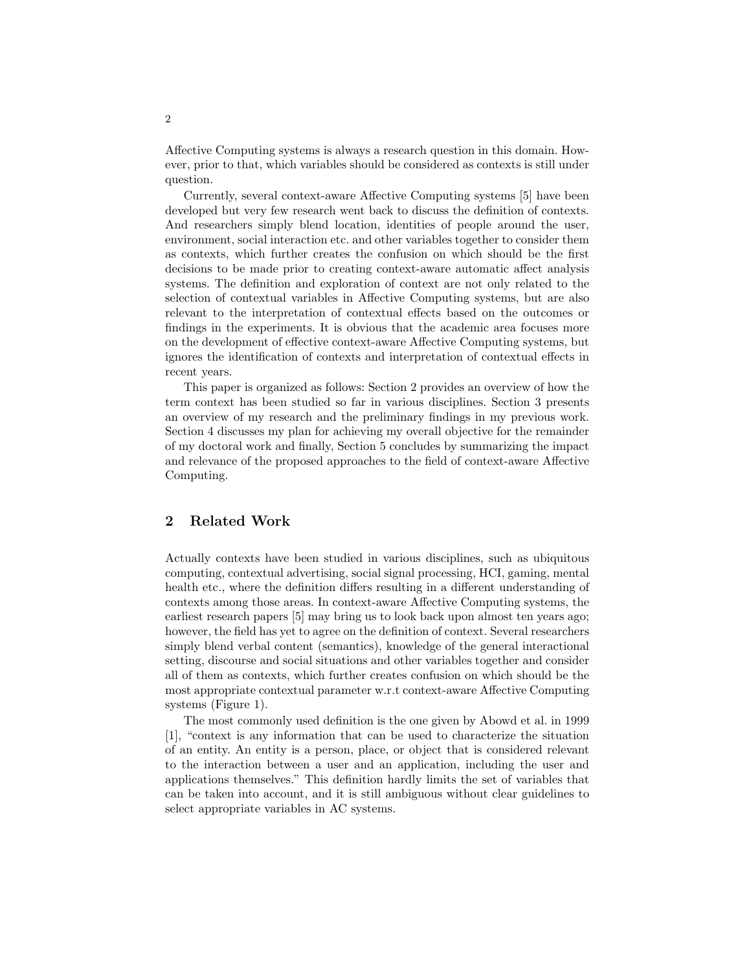Affective Computing systems is always a research question in this domain. However, prior to that, which variables should be considered as contexts is still under question.

Currently, several context-aware Affective Computing systems [5] have been developed but very few research went back to discuss the definition of contexts. And researchers simply blend location, identities of people around the user, environment, social interaction etc. and other variables together to consider them as contexts, which further creates the confusion on which should be the first decisions to be made prior to creating context-aware automatic affect analysis systems. The definition and exploration of context are not only related to the selection of contextual variables in Affective Computing systems, but are also relevant to the interpretation of contextual effects based on the outcomes or findings in the experiments. It is obvious that the academic area focuses more on the development of effective context-aware Affective Computing systems, but ignores the identification of contexts and interpretation of contextual effects in recent years.

This paper is organized as follows: Section 2 provides an overview of how the term context has been studied so far in various disciplines. Section 3 presents an overview of my research and the preliminary findings in my previous work. Section 4 discusses my plan for achieving my overall objective for the remainder of my doctoral work and finally, Section 5 concludes by summarizing the impact and relevance of the proposed approaches to the field of context-aware Affective Computing.

## 2 Related Work

Actually contexts have been studied in various disciplines, such as ubiquitous computing, contextual advertising, social signal processing, HCI, gaming, mental health etc., where the definition differs resulting in a different understanding of contexts among those areas. In context-aware Affective Computing systems, the earliest research papers [5] may bring us to look back upon almost ten years ago; however, the field has yet to agree on the definition of context. Several researchers simply blend verbal content (semantics), knowledge of the general interactional setting, discourse and social situations and other variables together and consider all of them as contexts, which further creates confusion on which should be the most appropriate contextual parameter w.r.t context-aware Affective Computing systems (Figure 1).

The most commonly used definition is the one given by Abowd et al. in 1999 [1], "context is any information that can be used to characterize the situation of an entity. An entity is a person, place, or object that is considered relevant to the interaction between a user and an application, including the user and applications themselves." This definition hardly limits the set of variables that can be taken into account, and it is still ambiguous without clear guidelines to select appropriate variables in AC systems.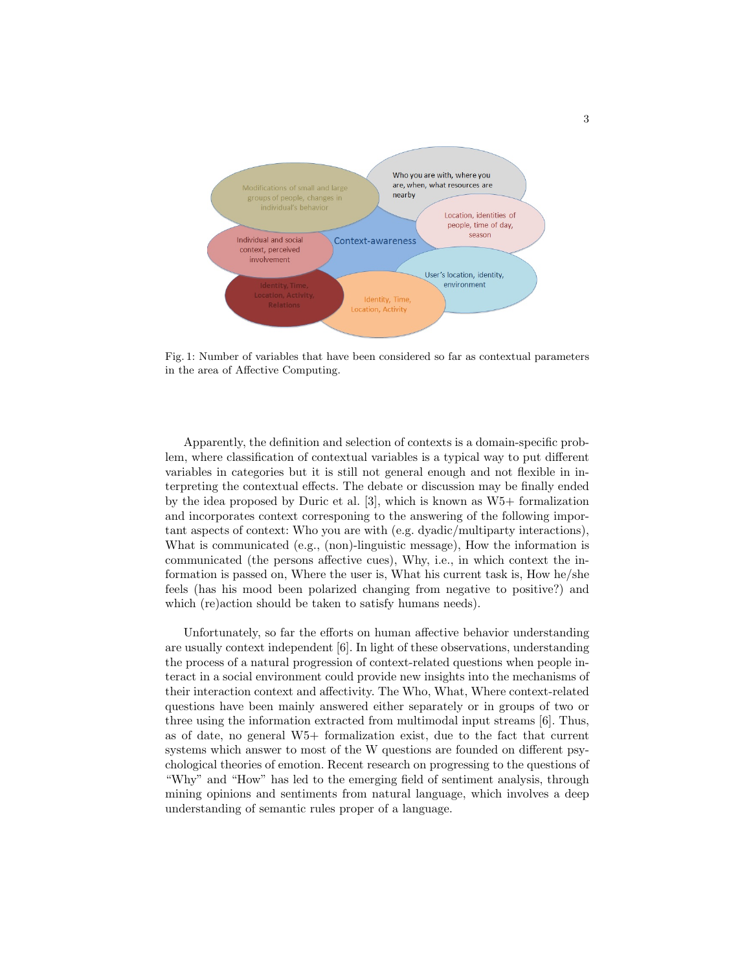

Fig. 1: Number of variables that have been considered so far as contextual parameters in the area of Affective Computing.

Apparently, the definition and selection of contexts is a domain-specific problem, where classification of contextual variables is a typical way to put different variables in categories but it is still not general enough and not flexible in interpreting the contextual effects. The debate or discussion may be finally ended by the idea proposed by Duric et al. [3], which is known as W5+ formalization and incorporates context corresponing to the answering of the following important aspects of context: Who you are with (e.g. dyadic/multiparty interactions), What is communicated (e.g., (non)-linguistic message), How the information is communicated (the persons affective cues), Why, i.e., in which context the information is passed on, Where the user is, What his current task is, How he/she feels (has his mood been polarized changing from negative to positive?) and which (re)action should be taken to satisfy humans needs).

Unfortunately, so far the efforts on human affective behavior understanding are usually context independent [6]. In light of these observations, understanding the process of a natural progression of context-related questions when people interact in a social environment could provide new insights into the mechanisms of their interaction context and affectivity. The Who, What, Where context-related questions have been mainly answered either separately or in groups of two or three using the information extracted from multimodal input streams [6]. Thus, as of date, no general W5+ formalization exist, due to the fact that current systems which answer to most of the W questions are founded on different psychological theories of emotion. Recent research on progressing to the questions of "Why" and "How" has led to the emerging field of sentiment analysis, through mining opinions and sentiments from natural language, which involves a deep understanding of semantic rules proper of a language.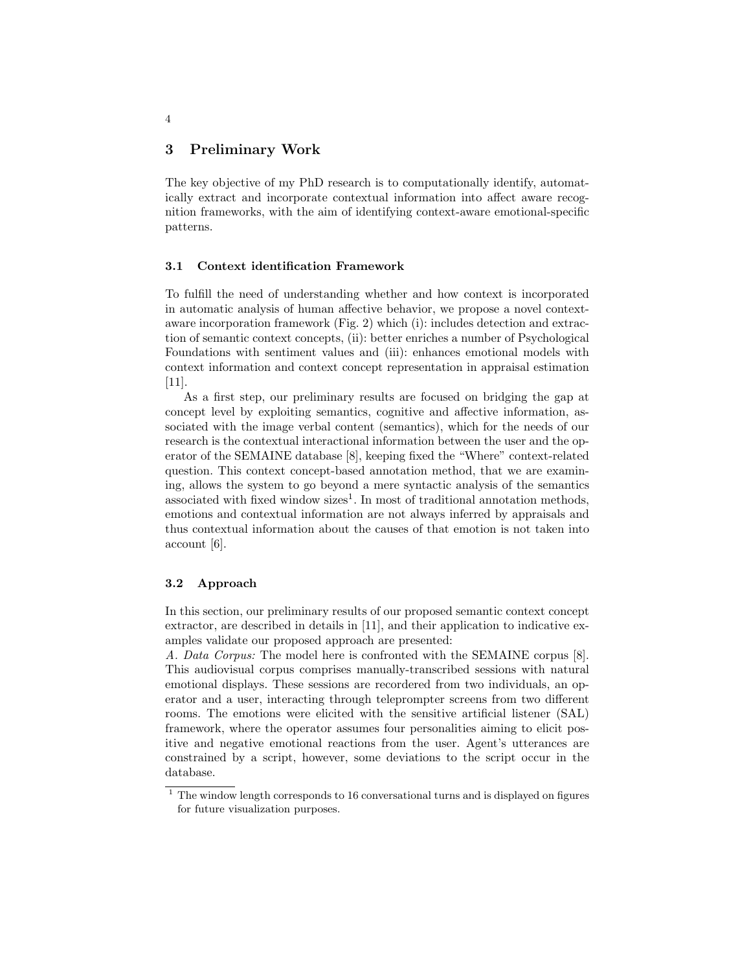## 3 Preliminary Work

The key objective of my PhD research is to computationally identify, automatically extract and incorporate contextual information into affect aware recognition frameworks, with the aim of identifying context-aware emotional-specific patterns.

#### 3.1 Context identification Framework

To fulfill the need of understanding whether and how context is incorporated in automatic analysis of human affective behavior, we propose a novel contextaware incorporation framework (Fig. 2) which (i): includes detection and extraction of semantic context concepts, (ii): better enriches a number of Psychological Foundations with sentiment values and (iii): enhances emotional models with context information and context concept representation in appraisal estimation [11].

As a first step, our preliminary results are focused on bridging the gap at concept level by exploiting semantics, cognitive and affective information, associated with the image verbal content (semantics), which for the needs of our research is the contextual interactional information between the user and the operator of the SEMAINE database [8], keeping fixed the "Where" context-related question. This context concept-based annotation method, that we are examining, allows the system to go beyond a mere syntactic analysis of the semantics associated with fixed window sizes<sup>1</sup>. In most of traditional annotation methods, emotions and contextual information are not always inferred by appraisals and thus contextual information about the causes of that emotion is not taken into account [6].

#### 3.2 Approach

In this section, our preliminary results of our proposed semantic context concept extractor, are described in details in [11], and their application to indicative examples validate our proposed approach are presented:

A. Data Corpus: The model here is confronted with the SEMAINE corpus [8]. This audiovisual corpus comprises manually-transcribed sessions with natural emotional displays. These sessions are recordered from two individuals, an operator and a user, interacting through teleprompter screens from two different rooms. The emotions were elicited with the sensitive artificial listener (SAL) framework, where the operator assumes four personalities aiming to elicit positive and negative emotional reactions from the user. Agent's utterances are constrained by a script, however, some deviations to the script occur in the database.

4

 $1$  The window length corresponds to 16 conversational turns and is displayed on figures for future visualization purposes.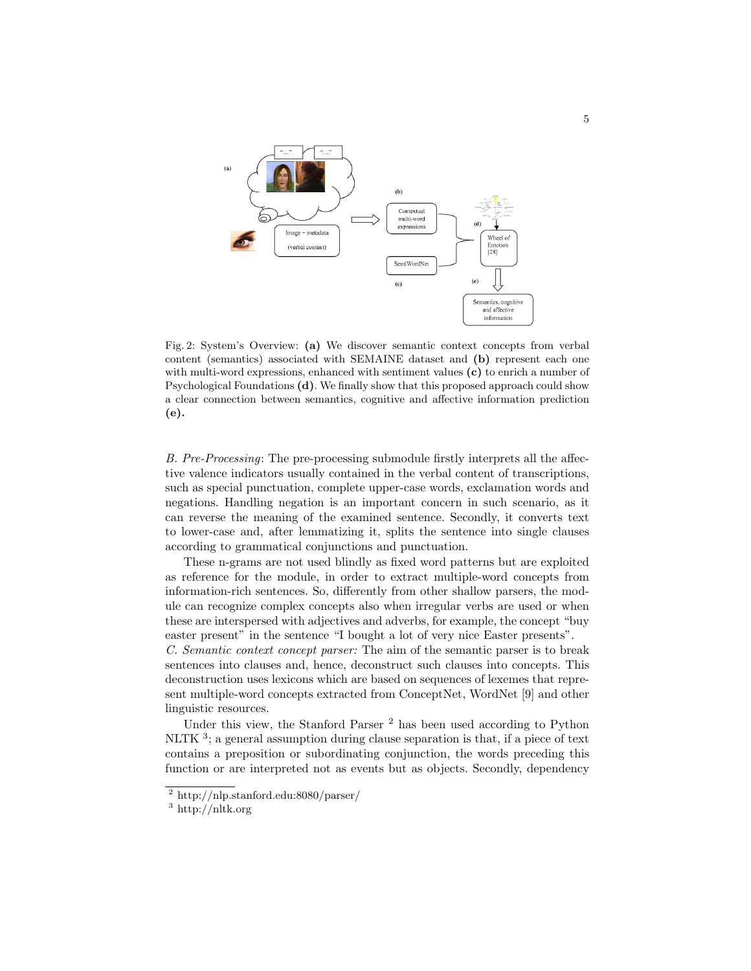

Fig. 2: System's Overview: (a) We discover semantic context concepts from verbal content (semantics) associated with SEMAINE dataset and (b) represent each one with multi-word expressions, enhanced with sentiment values (c) to enrich a number of Psychological Foundations (d). We finally show that this proposed approach could show a clear connection between semantics, cognitive and affective information prediction (e).

B. Pre-Processing: The pre-processing submodule firstly interprets all the affective valence indicators usually contained in the verbal content of transcriptions, such as special punctuation, complete upper-case words, exclamation words and negations. Handling negation is an important concern in such scenario, as it can reverse the meaning of the examined sentence. Secondly, it converts text to lower-case and, after lemmatizing it, splits the sentence into single clauses according to grammatical conjunctions and punctuation.

These n-grams are not used blindly as fixed word patterns but are exploited as reference for the module, in order to extract multiple-word concepts from information-rich sentences. So, differently from other shallow parsers, the module can recognize complex concepts also when irregular verbs are used or when these are interspersed with adjectives and adverbs, for example, the concept "buy easter present" in the sentence "I bought a lot of very nice Easter presents".

C. Semantic context concept parser: The aim of the semantic parser is to break sentences into clauses and, hence, deconstruct such clauses into concepts. This deconstruction uses lexicons which are based on sequences of lexemes that represent multiple-word concepts extracted from ConceptNet, WordNet [9] and other linguistic resources.

Under this view, the Stanford Parser<sup>2</sup> has been used according to Python NLTK<sup>3</sup>; a general assumption during clause separation is that, if a piece of text contains a preposition or subordinating conjunction, the words preceding this function or are interpreted not as events but as objects. Secondly, dependency

<sup>2</sup> http://nlp.stanford.edu:8080/parser/

<sup>3</sup> http://nltk.org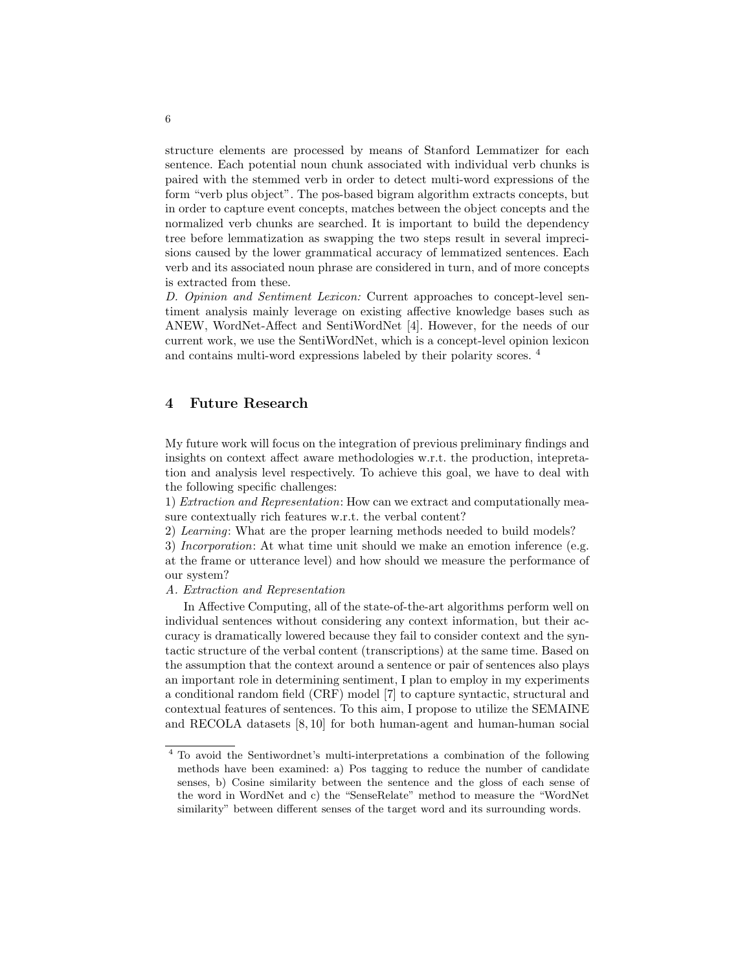structure elements are processed by means of Stanford Lemmatizer for each sentence. Each potential noun chunk associated with individual verb chunks is paired with the stemmed verb in order to detect multi-word expressions of the form "verb plus object". The pos-based bigram algorithm extracts concepts, but in order to capture event concepts, matches between the object concepts and the normalized verb chunks are searched. It is important to build the dependency tree before lemmatization as swapping the two steps result in several imprecisions caused by the lower grammatical accuracy of lemmatized sentences. Each verb and its associated noun phrase are considered in turn, and of more concepts is extracted from these.

D. Opinion and Sentiment Lexicon: Current approaches to concept-level sentiment analysis mainly leverage on existing affective knowledge bases such as ANEW, WordNet-Affect and SentiWordNet [4]. However, for the needs of our current work, we use the SentiWordNet, which is a concept-level opinion lexicon and contains multi-word expressions labeled by their polarity scores. <sup>4</sup>

# 4 Future Research

My future work will focus on the integration of previous preliminary findings and insights on context affect aware methodologies w.r.t. the production, intepretation and analysis level respectively. To achieve this goal, we have to deal with the following specific challenges:

1) Extraction and Representation: How can we extract and computationally measure contextually rich features w.r.t. the verbal content?

2) Learning: What are the proper learning methods needed to build models?

3) Incorporation: At what time unit should we make an emotion inference (e.g. at the frame or utterance level) and how should we measure the performance of our system?

## A. Extraction and Representation

In Affective Computing, all of the state-of-the-art algorithms perform well on individual sentences without considering any context information, but their accuracy is dramatically lowered because they fail to consider context and the syntactic structure of the verbal content (transcriptions) at the same time. Based on the assumption that the context around a sentence or pair of sentences also plays an important role in determining sentiment, I plan to employ in my experiments a conditional random field (CRF) model [7] to capture syntactic, structural and contextual features of sentences. To this aim, I propose to utilize the SEMAINE and RECOLA datasets [8, 10] for both human-agent and human-human social

<sup>4</sup> To avoid the Sentiwordnet's multi-interpretations a combination of the following methods have been examined: a) Pos tagging to reduce the number of candidate senses, b) Cosine similarity between the sentence and the gloss of each sense of the word in WordNet and c) the "SenseRelate" method to measure the "WordNet similarity" between different senses of the target word and its surrounding words.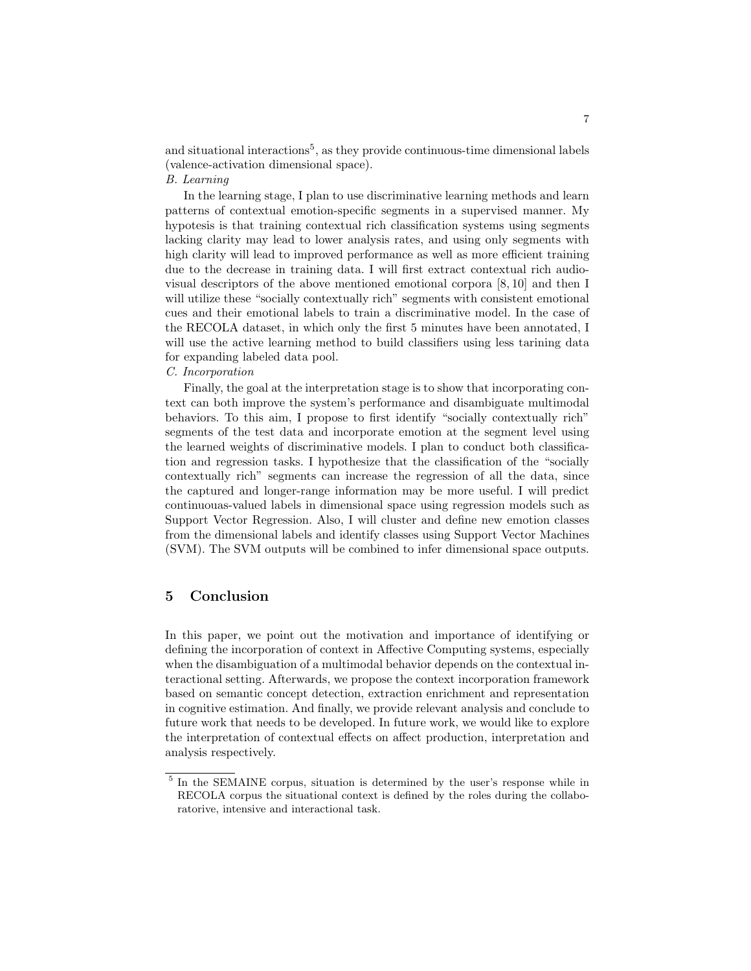and situational interactions<sup>5</sup>, as they provide continuous-time dimensional labels (valence-activation dimensional space).

#### B. Learning

In the learning stage, I plan to use discriminative learning methods and learn patterns of contextual emotion-specific segments in a supervised manner. My hypotesis is that training contextual rich classification systems using segments lacking clarity may lead to lower analysis rates, and using only segments with high clarity will lead to improved performance as well as more efficient training due to the decrease in training data. I will first extract contextual rich audiovisual descriptors of the above mentioned emotional corpora [8, 10] and then I will utilize these "socially contextually rich" segments with consistent emotional cues and their emotional labels to train a discriminative model. In the case of the RECOLA dataset, in which only the first 5 minutes have been annotated, I will use the active learning method to build classifiers using less tarining data for expanding labeled data pool.

## C. Incorporation

Finally, the goal at the interpretation stage is to show that incorporating context can both improve the system's performance and disambiguate multimodal behaviors. To this aim, I propose to first identify "socially contextually rich" segments of the test data and incorporate emotion at the segment level using the learned weights of discriminative models. I plan to conduct both classification and regression tasks. I hypothesize that the classification of the "socially contextually rich" segments can increase the regression of all the data, since the captured and longer-range information may be more useful. I will predict continuouas-valued labels in dimensional space using regression models such as Support Vector Regression. Also, I will cluster and define new emotion classes from the dimensional labels and identify classes using Support Vector Machines (SVM). The SVM outputs will be combined to infer dimensional space outputs.

# 5 Conclusion

In this paper, we point out the motivation and importance of identifying or defining the incorporation of context in Affective Computing systems, especially when the disambiguation of a multimodal behavior depends on the contextual interactional setting. Afterwards, we propose the context incorporation framework based on semantic concept detection, extraction enrichment and representation in cognitive estimation. And finally, we provide relevant analysis and conclude to future work that needs to be developed. In future work, we would like to explore the interpretation of contextual effects on affect production, interpretation and analysis respectively.

<sup>&</sup>lt;sup>5</sup> In the SEMAINE corpus, situation is determined by the user's response while in RECOLA corpus the situational context is defined by the roles during the collaboratorive, intensive and interactional task.